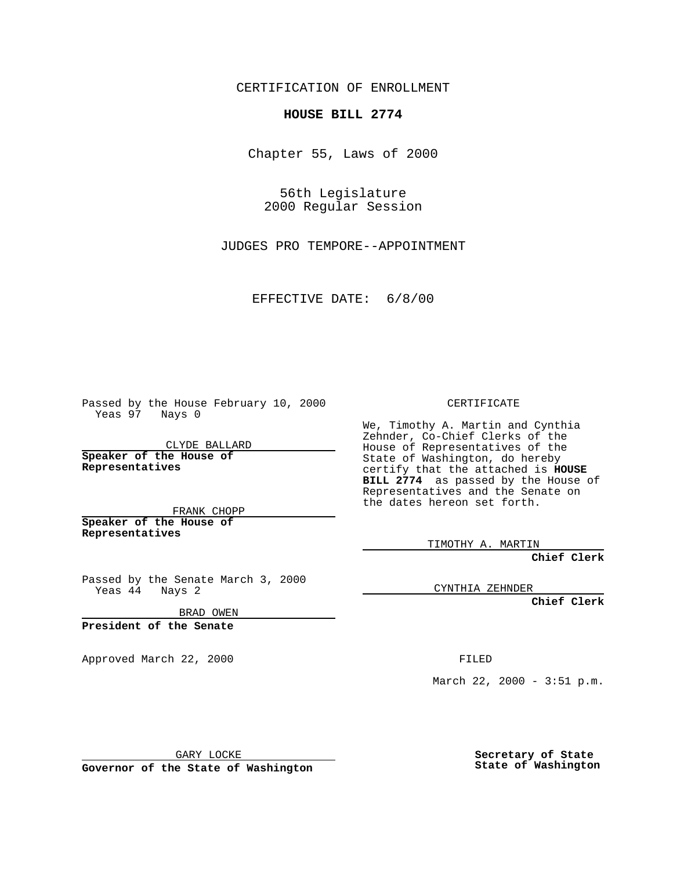CERTIFICATION OF ENROLLMENT

## **HOUSE BILL 2774**

Chapter 55, Laws of 2000

56th Legislature 2000 Regular Session

JUDGES PRO TEMPORE--APPOINTMENT

EFFECTIVE DATE: 6/8/00

Passed by the House February 10, 2000 Yeas 97 Nays 0

CLYDE BALLARD **Speaker of the House of Representatives**

FRANK CHOPP **Speaker of the House of**

**Representatives**

Passed by the Senate March 3, 2000 Yeas 44 Nays 2

BRAD OWEN

**President of the Senate**

Approved March 22, 2000 FILED

CERTIFICATE

We, Timothy A. Martin and Cynthia Zehnder, Co-Chief Clerks of the House of Representatives of the State of Washington, do hereby certify that the attached is **HOUSE BILL 2774** as passed by the House of Representatives and the Senate on the dates hereon set forth.

TIMOTHY A. MARTIN

**Chief Clerk**

CYNTHIA ZEHNDER

**Chief Clerk**

March 22, 2000 - 3:51 p.m.

GARY LOCKE

**Governor of the State of Washington**

**Secretary of State State of Washington**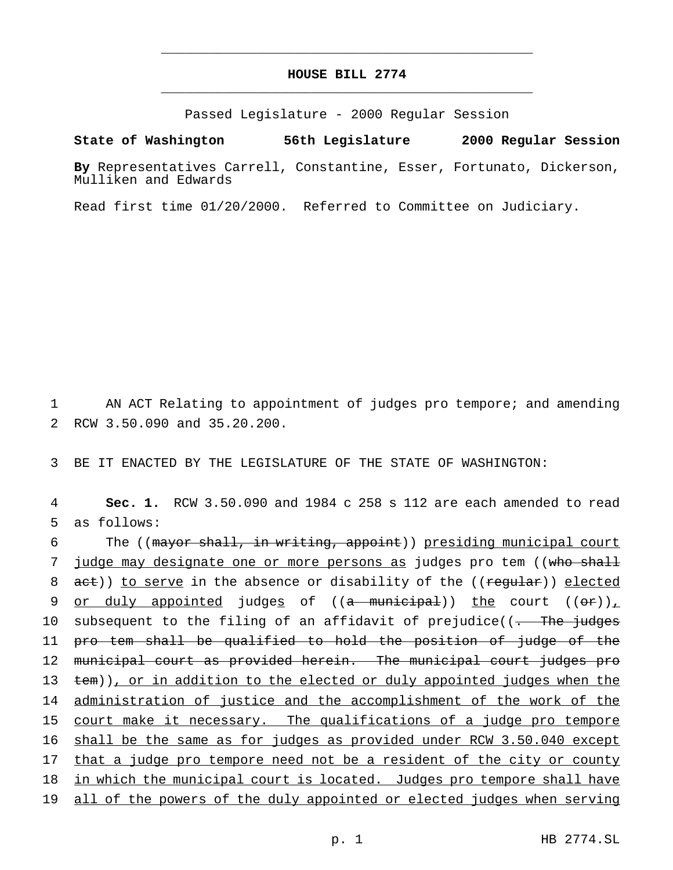## **HOUSE BILL 2774** \_\_\_\_\_\_\_\_\_\_\_\_\_\_\_\_\_\_\_\_\_\_\_\_\_\_\_\_\_\_\_\_\_\_\_\_\_\_\_\_\_\_\_\_\_\_\_

\_\_\_\_\_\_\_\_\_\_\_\_\_\_\_\_\_\_\_\_\_\_\_\_\_\_\_\_\_\_\_\_\_\_\_\_\_\_\_\_\_\_\_\_\_\_\_

Passed Legislature - 2000 Regular Session

## **State of Washington 56th Legislature 2000 Regular Session**

**By** Representatives Carrell, Constantine, Esser, Fortunato, Dickerson, Mulliken and Edwards

Read first time 01/20/2000. Referred to Committee on Judiciary.

1 AN ACT Relating to appointment of judges pro tempore; and amending 2 RCW 3.50.090 and 35.20.200.

3 BE IT ENACTED BY THE LEGISLATURE OF THE STATE OF WASHINGTON:

4 **Sec. 1.** RCW 3.50.090 and 1984 c 258 s 112 are each amended to read 5 as follows:

6 The ((mayor shall, in writing, appoint)) presiding municipal court 7 judge may designate one or more persons as judges pro tem ((who shall 8 act)) to serve in the absence or disability of the ((reqular)) elected 9 or duly appointed judges of  $((a$  municipal)) the court  $((or))_+$ 10 subsequent to the filing of an affidavit of prejudice( $\overline{1}$ . The judges 11 pro tem shall be qualified to hold the position of judge of the 12 municipal court as provided herein. The municipal court judges pro 13 tem)), or in addition to the elected or duly appointed judges when the 14 administration of justice and the accomplishment of the work of the 15 court make it necessary. The qualifications of a judge pro tempore 16 shall be the same as for judges as provided under RCW 3.50.040 except 17 that a judge pro tempore need not be a resident of the city or county 18 in which the municipal court is located. Judges pro tempore shall have 19 all of the powers of the duly appointed or elected judges when serving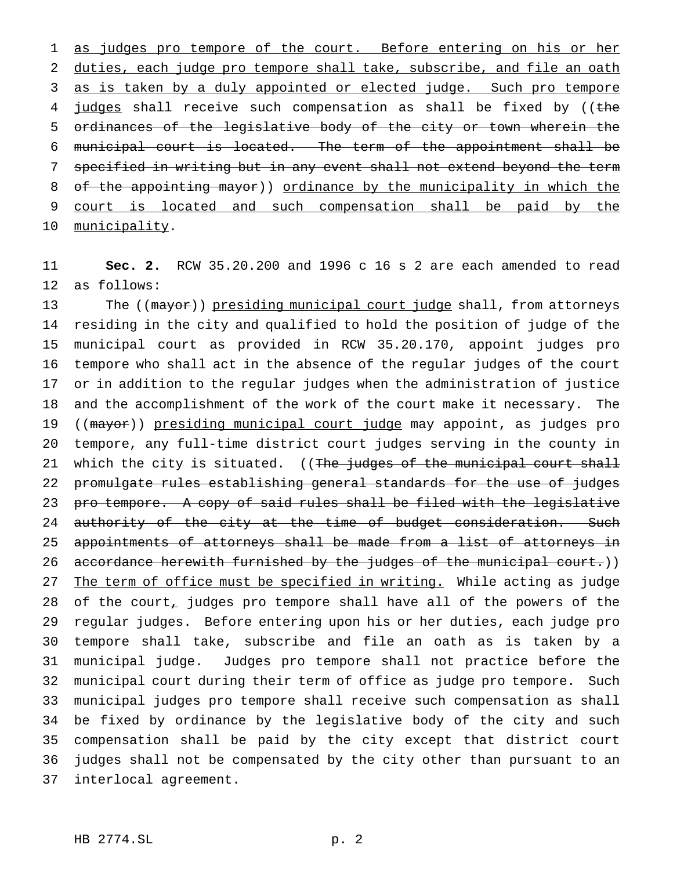1 as judges pro tempore of the court. Before entering on his or her duties, each judge pro tempore shall take, subscribe, and file an oath 3 as is taken by a duly appointed or elected judge. Such pro tempore 4 judges shall receive such compensation as shall be fixed by ((the ordinances of the legislative body of the city or town wherein the municipal court is located. The term of the appointment shall be specified in writing but in any event shall not extend beyond the term of the appointing mayor)) ordinance by the municipality in which the court is located and such compensation shall be paid by the 10 municipality.

 **Sec. 2.** RCW 35.20.200 and 1996 c 16 s 2 are each amended to read as follows:

13 The ((mayor)) presiding municipal court judge shall, from attorneys residing in the city and qualified to hold the position of judge of the municipal court as provided in RCW 35.20.170, appoint judges pro tempore who shall act in the absence of the regular judges of the court or in addition to the regular judges when the administration of justice and the accomplishment of the work of the court make it necessary. The 19 ((mayor)) presiding municipal court judge may appoint, as judges pro tempore, any full-time district court judges serving in the county in 21 which the city is situated. ((The judges of the municipal court shall promulgate rules establishing general standards for the use of judges pro tempore. A copy of said rules shall be filed with the legislative 24 authority of the city at the time of budget consideration. Such appointments of attorneys shall be made from a list of attorneys in 26 accordance herewith furnished by the judges of the municipal court.)) 27 The term of office must be specified in writing. While acting as judge 28 of the court, judges pro tempore shall have all of the powers of the regular judges. Before entering upon his or her duties, each judge pro tempore shall take, subscribe and file an oath as is taken by a municipal judge. Judges pro tempore shall not practice before the municipal court during their term of office as judge pro tempore. Such municipal judges pro tempore shall receive such compensation as shall be fixed by ordinance by the legislative body of the city and such compensation shall be paid by the city except that district court judges shall not be compensated by the city other than pursuant to an interlocal agreement.